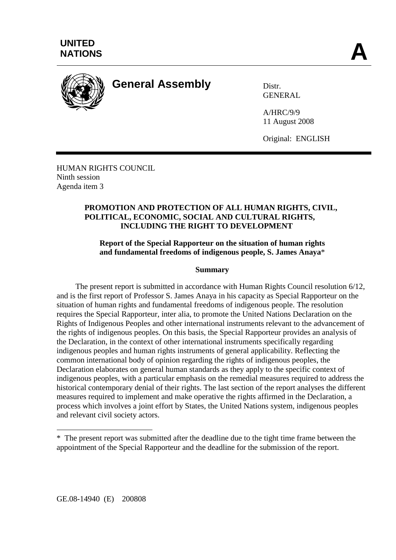

**General Assembly** Distr.

GENERAL

A/HRC/9/9 11 August 2008

Original: ENGLISH

HUMAN RIGHTS COUNCIL Ninth session Agenda item 3

### **PROMOTION AND PROTECTION OF ALL HUMAN RIGHTS, CIVIL, POLITICAL, ECONOMIC, SOCIAL AND CULTURAL RIGHTS, INCLUDING THE RIGHT TO DEVELOPMENT**

### **Report of the Special Rapporteur on the situation of human rights and fundamental freedoms of indigenous people, S. James Anaya**\*

### **Summary**

 The present report is submitted in accordance with Human Rights Council resolution 6/12, and is the first report of Professor S. James Anaya in his capacity as Special Rapporteur on the situation of human rights and fundamental freedoms of indigenous people. The resolution requires the Special Rapporteur, inter alia, to promote the United Nations Declaration on the Rights of Indigenous Peoples and other international instruments relevant to the advancement of the rights of indigenous peoples. On this basis, the Special Rapporteur provides an analysis of the Declaration, in the context of other international instruments specifically regarding indigenous peoples and human rights instruments of general applicability. Reflecting the common international body of opinion regarding the rights of indigenous peoples, the Declaration elaborates on general human standards as they apply to the specific context of indigenous peoples, with a particular emphasis on the remedial measures required to address the historical contemporary denial of their rights. The last section of the report analyses the different measures required to implement and make operative the rights affirmed in the Declaration, a process which involves a joint effort by States, the United Nations system, indigenous peoples and relevant civil society actors.

<sup>\*</sup> The present report was submitted after the deadline due to the tight time frame between the appointment of the Special Rapporteur and the deadline for the submission of the report.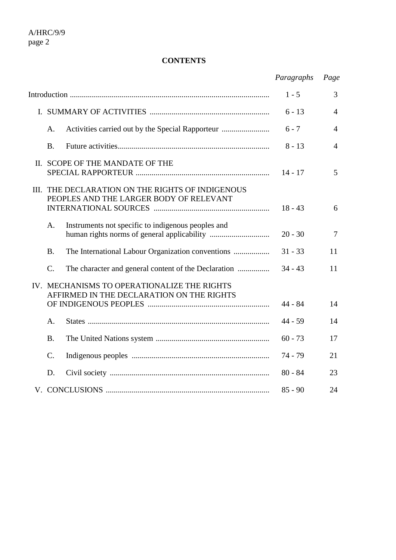# **CONTENTS**

|  |                                                                                             |                                                                                          | Paragraphs | Page           |
|--|---------------------------------------------------------------------------------------------|------------------------------------------------------------------------------------------|------------|----------------|
|  |                                                                                             |                                                                                          | $1 - 5$    | 3              |
|  |                                                                                             |                                                                                          | $6 - 13$   | $\overline{4}$ |
|  | A.                                                                                          |                                                                                          | $6 - 7$    | $\overline{4}$ |
|  | <b>B.</b>                                                                                   |                                                                                          | $8 - 13$   | $\overline{4}$ |
|  |                                                                                             | II. SCOPE OF THE MANDATE OF THE                                                          | $14 - 17$  | 5              |
|  | III. THE DECLARATION ON THE RIGHTS OF INDIGENOUS<br>PEOPLES AND THE LARGER BODY OF RELEVANT |                                                                                          | $18 - 43$  | 6              |
|  | A.                                                                                          | Instruments not specific to indigenous peoples and                                       | $20 - 30$  | $\tau$         |
|  | <b>B.</b>                                                                                   | The International Labour Organization conventions                                        | $31 - 33$  | 11             |
|  | C.                                                                                          |                                                                                          | $34 - 43$  | 11             |
|  |                                                                                             | IV. MECHANISMS TO OPERATIONALIZE THE RIGHTS<br>AFFIRMED IN THE DECLARATION ON THE RIGHTS |            |                |
|  |                                                                                             |                                                                                          | 44 - 84    | 14             |
|  | A.                                                                                          |                                                                                          | $44 - 59$  | 14             |
|  | <b>B.</b>                                                                                   |                                                                                          | $60 - 73$  | 17             |
|  | C.                                                                                          |                                                                                          | $74 - 79$  | 21             |
|  | D.                                                                                          |                                                                                          | $80 - 84$  | 23             |
|  |                                                                                             |                                                                                          | $85 - 90$  | 24             |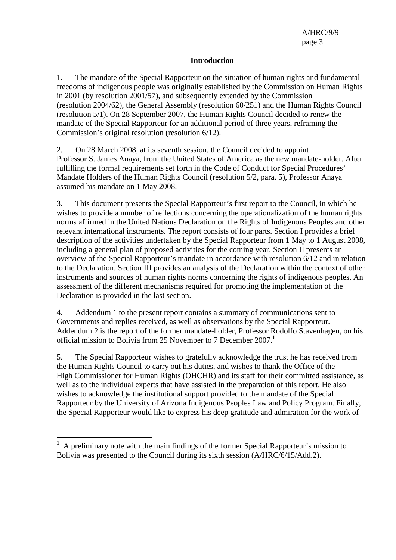#### **Introduction**

1. The mandate of the Special Rapporteur on the situation of human rights and fundamental freedoms of indigenous people was originally established by the Commission on Human Rights in 2001 (by resolution 2001/57), and subsequently extended by the Commission (resolution 2004/62), the General Assembly (resolution 60/251) and the Human Rights Council (resolution 5/1). On 28 September 2007, the Human Rights Council decided to renew the mandate of the Special Rapporteur for an additional period of three years, reframing the Commission's original resolution (resolution 6/12).

2. On 28 March 2008, at its seventh session, the Council decided to appoint Professor S. James Anaya, from the United States of America as the new mandate-holder. After fulfilling the formal requirements set forth in the Code of Conduct for Special Procedures' Mandate Holders of the Human Rights Council (resolution 5/2, para. 5), Professor Anaya assumed his mandate on 1 May 2008.

3. This document presents the Special Rapporteur's first report to the Council, in which he wishes to provide a number of reflections concerning the operationalization of the human rights norms affirmed in the United Nations Declaration on the Rights of Indigenous Peoples and other relevant international instruments. The report consists of four parts. Section I provides a brief description of the activities undertaken by the Special Rapporteur from 1 May to 1 August 2008, including a general plan of proposed activities for the coming year. Section II presents an overview of the Special Rapporteur's mandate in accordance with resolution 6/12 and in relation to the Declaration. Section III provides an analysis of the Declaration within the context of other instruments and sources of human rights norms concerning the rights of indigenous peoples. An assessment of the different mechanisms required for promoting the implementation of the Declaration is provided in the last section.

4. Addendum 1 to the present report contains a summary of communications sent to Governments and replies received, as well as observations by the Special Rapporteur. Addendum 2 is the report of the former mandate-holder, Professor Rodolfo Stavenhagen, on his official mission to Bolivia from 25 November to 7 December 2007.**<sup>1</sup>**

5. The Special Rapporteur wishes to gratefully acknowledge the trust he has received from the Human Rights Council to carry out his duties, and wishes to thank the Office of the High Commissioner for Human Rights (OHCHR) and its staff for their committed assistance, as well as to the individual experts that have assisted in the preparation of this report. He also wishes to acknowledge the institutional support provided to the mandate of the Special Rapporteur by the University of Arizona Indigenous Peoples Law and Policy Program. Finally, the Special Rapporteur would like to express his deep gratitude and admiration for the work of

**<sup>1</sup>** A preliminary note with the main findings of the former Special Rapporteur's mission to Bolivia was presented to the Council during its sixth session (A/HRC/6/15/Add.2).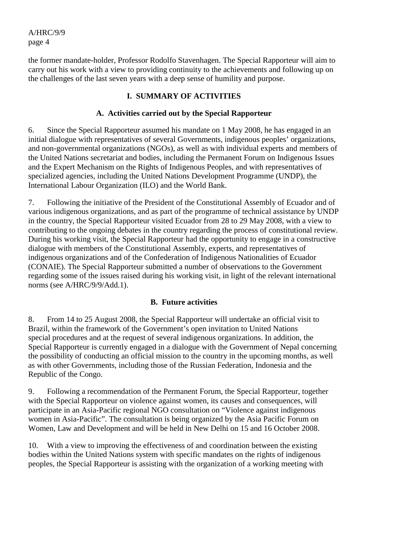the former mandate-holder, Professor Rodolfo Stavenhagen. The Special Rapporteur will aim to carry out his work with a view to providing continuity to the achievements and following up on the challenges of the last seven years with a deep sense of humility and purpose.

# **I. SUMMARY OF ACTIVITIES**

## **A. Activities carried out by the Special Rapporteur**

6. Since the Special Rapporteur assumed his mandate on 1 May 2008, he has engaged in an initial dialogue with representatives of several Governments, indigenous peoples' organizations, and non-governmental organizations (NGOs), as well as with individual experts and members of the United Nations secretariat and bodies, including the Permanent Forum on Indigenous Issues and the Expert Mechanism on the Rights of Indigenous Peoples, and with representatives of specialized agencies, including the United Nations Development Programme (UNDP), the International Labour Organization (ILO) and the World Bank.

7. Following the initiative of the President of the Constitutional Assembly of Ecuador and of various indigenous organizations, and as part of the programme of technical assistance by UNDP in the country, the Special Rapporteur visited Ecuador from 28 to 29 May 2008, with a view to contributing to the ongoing debates in the country regarding the process of constitutional review. During his working visit, the Special Rapporteur had the opportunity to engage in a constructive dialogue with members of the Constitutional Assembly, experts, and representatives of indigenous organizations and of the Confederation of Indigenous Nationalities of Ecuador (CONAIE). The Special Rapporteur submitted a number of observations to the Government regarding some of the issues raised during his working visit, in light of the relevant international norms (see A/HRC/9/9/Add.1).

### **B. Future activities**

8. From 14 to 25 August 2008, the Special Rapporteur will undertake an official visit to Brazil, within the framework of the Government's open invitation to United Nations special procedures and at the request of several indigenous organizations. In addition, the Special Rapporteur is currently engaged in a dialogue with the Government of Nepal concerning the possibility of conducting an official mission to the country in the upcoming months, as well as with other Governments, including those of the Russian Federation, Indonesia and the Republic of the Congo.

9. Following a recommendation of the Permanent Forum, the Special Rapporteur, together with the Special Rapporteur on violence against women, its causes and consequences, will participate in an Asia-Pacific regional NGO consultation on "Violence against indigenous women in Asia-Pacific". The consultation is being organized by the Asia Pacific Forum on Women, Law and Development and will be held in New Delhi on 15 and 16 October 2008.

10. With a view to improving the effectiveness of and coordination between the existing bodies within the United Nations system with specific mandates on the rights of indigenous peoples, the Special Rapporteur is assisting with the organization of a working meeting with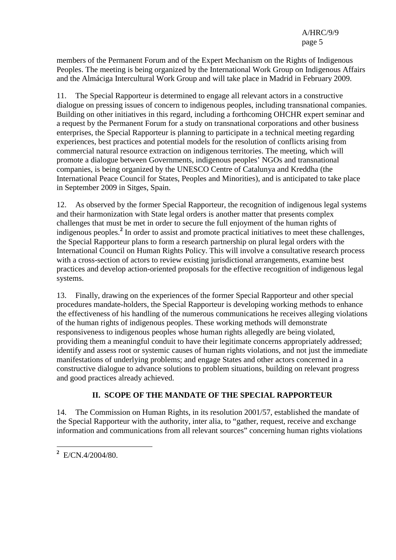members of the Permanent Forum and of the Expert Mechanism on the Rights of Indigenous Peoples. The meeting is being organized by the International Work Group on Indigenous Affairs and the Almáciga Intercultural Work Group and will take place in Madrid in February 2009.

11. The Special Rapporteur is determined to engage all relevant actors in a constructive dialogue on pressing issues of concern to indigenous peoples, including transnational companies. Building on other initiatives in this regard, including a forthcoming OHCHR expert seminar and a request by the Permanent Forum for a study on transnational corporations and other business enterprises, the Special Rapporteur is planning to participate in a technical meeting regarding experiences, best practices and potential models for the resolution of conflicts arising from commercial natural resource extraction on indigenous territories. The meeting, which will promote a dialogue between Governments, indigenous peoples' NGOs and transnational companies, is being organized by the UNESCO Centre of Catalunya and Kreddha (the International Peace Council for States, Peoples and Minorities), and is anticipated to take place in September 2009 in Sitges, Spain.

12. As observed by the former Special Rapporteur, the recognition of indigenous legal systems and their harmonization with State legal orders is another matter that presents complex challenges that must be met in order to secure the full enjoyment of the human rights of indigenous peoples.**<sup>2</sup>** In order to assist and promote practical initiatives to meet these challenges, the Special Rapporteur plans to form a research partnership on plural legal orders with the International Council on Human Rights Policy. This will involve a consultative research process with a cross-section of actors to review existing jurisdictional arrangements, examine best practices and develop action-oriented proposals for the effective recognition of indigenous legal systems.

13. Finally, drawing on the experiences of the former Special Rapporteur and other special procedures mandate-holders, the Special Rapporteur is developing working methods to enhance the effectiveness of his handling of the numerous communications he receives alleging violations of the human rights of indigenous peoples. These working methods will demonstrate responsiveness to indigenous peoples whose human rights allegedly are being violated, providing them a meaningful conduit to have their legitimate concerns appropriately addressed; identify and assess root or systemic causes of human rights violations, and not just the immediate manifestations of underlying problems; and engage States and other actors concerned in a constructive dialogue to advance solutions to problem situations, building on relevant progress and good practices already achieved.

# **II. SCOPE OF THE MANDATE OF THE SPECIAL RAPPORTEUR**

14. The Commission on Human Rights, in its resolution 2001/57, established the mandate of the Special Rapporteur with the authority, inter alia, to "gather, request, receive and exchange information and communications from all relevant sources" concerning human rights violations

 **2** E/CN.4/2004/80.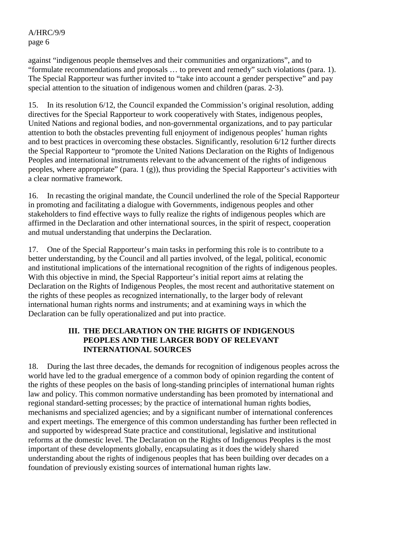against "indigenous people themselves and their communities and organizations", and to "formulate recommendations and proposals … to prevent and remedy" such violations (para. 1). The Special Rapporteur was further invited to "take into account a gender perspective" and pay special attention to the situation of indigenous women and children (paras. 2-3).

15. In its resolution 6/12, the Council expanded the Commission's original resolution, adding directives for the Special Rapporteur to work cooperatively with States, indigenous peoples, United Nations and regional bodies, and non-governmental organizations, and to pay particular attention to both the obstacles preventing full enjoyment of indigenous peoples' human rights and to best practices in overcoming these obstacles. Significantly, resolution 6/12 further directs the Special Rapporteur to "promote the United Nations Declaration on the Rights of Indigenous Peoples and international instruments relevant to the advancement of the rights of indigenous peoples, where appropriate" (para. 1 (g)), thus providing the Special Rapporteur's activities with a clear normative framework.

16. In recasting the original mandate, the Council underlined the role of the Special Rapporteur in promoting and facilitating a dialogue with Governments, indigenous peoples and other stakeholders to find effective ways to fully realize the rights of indigenous peoples which are affirmed in the Declaration and other international sources, in the spirit of respect, cooperation and mutual understanding that underpins the Declaration.

17. One of the Special Rapporteur's main tasks in performing this role is to contribute to a better understanding, by the Council and all parties involved, of the legal, political, economic and institutional implications of the international recognition of the rights of indigenous peoples. With this objective in mind, the Special Rapporteur's initial report aims at relating the Declaration on the Rights of Indigenous Peoples, the most recent and authoritative statement on the rights of these peoples as recognized internationally, to the larger body of relevant international human rights norms and instruments; and at examining ways in which the Declaration can be fully operationalized and put into practice.

### **III. THE DECLARATION ON THE RIGHTS OF INDIGENOUS PEOPLES AND THE LARGER BODY OF RELEVANT INTERNATIONAL SOURCES**

18. During the last three decades, the demands for recognition of indigenous peoples across the world have led to the gradual emergence of a common body of opinion regarding the content of the rights of these peoples on the basis of long-standing principles of international human rights law and policy. This common normative understanding has been promoted by international and regional standard-setting processes; by the practice of international human rights bodies, mechanisms and specialized agencies; and by a significant number of international conferences and expert meetings. The emergence of this common understanding has further been reflected in and supported by widespread State practice and constitutional, legislative and institutional reforms at the domestic level. The Declaration on the Rights of Indigenous Peoples is the most important of these developments globally, encapsulating as it does the widely shared understanding about the rights of indigenous peoples that has been building over decades on a foundation of previously existing sources of international human rights law.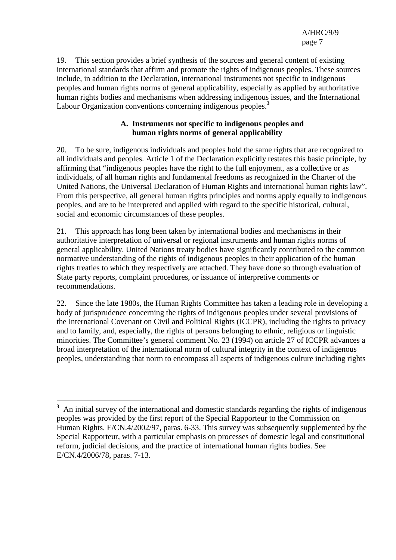19. This section provides a brief synthesis of the sources and general content of existing international standards that affirm and promote the rights of indigenous peoples. These sources include, in addition to the Declaration, international instruments not specific to indigenous peoples and human rights norms of general applicability, especially as applied by authoritative human rights bodies and mechanisms when addressing indigenous issues, and the International Labour Organization conventions concerning indigenous peoples.**<sup>3</sup>**

### **A. Instruments not specific to indigenous peoples and human rights norms of general applicability**

20. To be sure, indigenous individuals and peoples hold the same rights that are recognized to all individuals and peoples. Article 1 of the Declaration explicitly restates this basic principle, by affirming that "indigenous peoples have the right to the full enjoyment, as a collective or as individuals, of all human rights and fundamental freedoms as recognized in the Charter of the United Nations, the Universal Declaration of Human Rights and international human rights law". From this perspective, all general human rights principles and norms apply equally to indigenous peoples, and are to be interpreted and applied with regard to the specific historical, cultural, social and economic circumstances of these peoples.

21. This approach has long been taken by international bodies and mechanisms in their authoritative interpretation of universal or regional instruments and human rights norms of general applicability. United Nations treaty bodies have significantly contributed to the common normative understanding of the rights of indigenous peoples in their application of the human rights treaties to which they respectively are attached. They have done so through evaluation of State party reports, complaint procedures, or issuance of interpretive comments or recommendations.

22. Since the late 1980s, the Human Rights Committee has taken a leading role in developing a body of jurisprudence concerning the rights of indigenous peoples under several provisions of the International Covenant on Civil and Political Rights (ICCPR), including the rights to privacy and to family, and, especially, the rights of persons belonging to ethnic, religious or linguistic minorities. The Committee's general comment No. 23 (1994) on article 27 of ICCPR advances a broad interpretation of the international norm of cultural integrity in the context of indigenous peoples, understanding that norm to encompass all aspects of indigenous culture including rights

**<sup>3</sup>** An initial survey of the international and domestic standards regarding the rights of indigenous peoples was provided by the first report of the Special Rapporteur to the Commission on Human Rights. E/CN.4/2002/97, paras. 6-33. This survey was subsequently supplemented by the Special Rapporteur, with a particular emphasis on processes of domestic legal and constitutional reform, judicial decisions, and the practice of international human rights bodies. See E/CN.4/2006/78, paras. 7-13.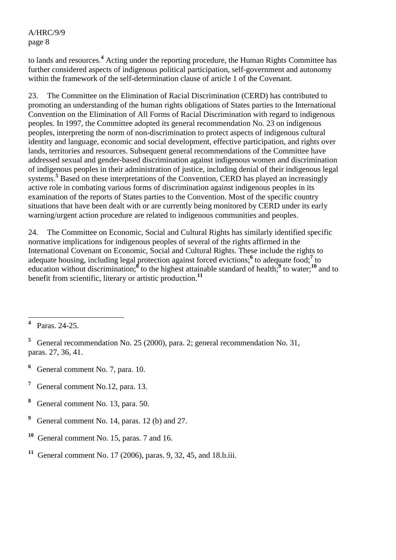to lands and resources.**<sup>4</sup>** Acting under the reporting procedure, the Human Rights Committee has further considered aspects of indigenous political participation, self-government and autonomy within the framework of the self-determination clause of article 1 of the Covenant.

23. The Committee on the Elimination of Racial Discrimination (CERD) has contributed to promoting an understanding of the human rights obligations of States parties to the International Convention on the Elimination of All Forms of Racial Discrimination with regard to indigenous peoples. In 1997, the Committee adopted its general recommendation No. 23 on indigenous peoples, interpreting the norm of non-discrimination to protect aspects of indigenous cultural identity and language, economic and social development, effective participation, and rights over lands, territories and resources. Subsequent general recommendations of the Committee have addressed sexual and gender-based discrimination against indigenous women and discrimination of indigenous peoples in their administration of justice, including denial of their indigenous legal systems.<sup>5</sup> Based on these interpretations of the Convention, CERD has played an increasingly active role in combating various forms of discrimination against indigenous peoples in its examination of the reports of States parties to the Convention. Most of the specific country situations that have been dealt with or are currently being monitored by CERD under its early warning/urgent action procedure are related to indigenous communities and peoples.

24. The Committee on Economic, Social and Cultural Rights has similarly identified specific normative implications for indigenous peoples of several of the rights affirmed in the International Covenant on Economic, Social and Cultural Rights. These include the rights to adequate housing, including legal protection against forced evictions;<sup>6</sup> to adequate food;<sup>7</sup> to education without discrimination;<sup>8</sup> to the highest attainable standard of health;<sup>9</sup> to water;<sup>10</sup> and to benefit from scientific, literary or artistic production.**<sup>11</sup>**

 **4** Paras. 24-25.

- **6** General comment No. 7, para. 10.
- **7** General comment No.12, para. 13.
- **8** General comment No. 13, para. 50.
- **9** General comment No. 14, paras. 12 (b) and 27.
- **<sup>10</sup>** General comment No. 15, paras. 7 and 16.

<sup>&</sup>lt;sup>5</sup> General recommendation No. 25 (2000), para. 2; general recommendation No. 31, paras. 27, 36, 41.

**<sup>11</sup>** General comment No. 17 (2006), paras. 9, 32, 45, and 18.b.iii.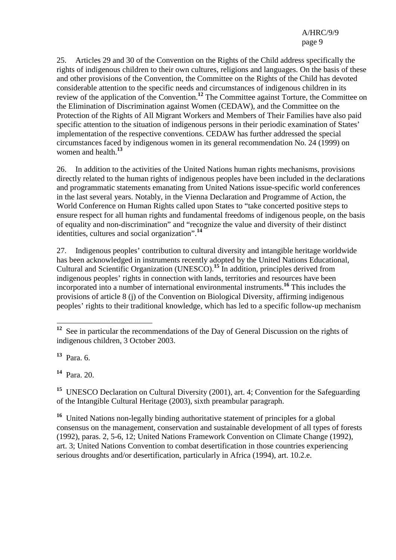25. Articles 29 and 30 of the Convention on the Rights of the Child address specifically the rights of indigenous children to their own cultures, religions and languages. On the basis of these and other provisions of the Convention, the Committee on the Rights of the Child has devoted considerable attention to the specific needs and circumstances of indigenous children in its review of the application of the Convention.**<sup>12</sup>** The Committee against Torture, the Committee on the Elimination of Discrimination against Women (CEDAW), and the Committee on the Protection of the Rights of All Migrant Workers and Members of Their Families have also paid specific attention to the situation of indigenous persons in their periodic examination of States' implementation of the respective conventions. CEDAW has further addressed the special circumstances faced by indigenous women in its general recommendation No. 24 (1999) on women and health.**<sup>13</sup>**

26. In addition to the activities of the United Nations human rights mechanisms, provisions directly related to the human rights of indigenous peoples have been included in the declarations and programmatic statements emanating from United Nations issue-specific world conferences in the last several years. Notably, in the Vienna Declaration and Programme of Action, the World Conference on Human Rights called upon States to "take concerted positive steps to ensure respect for all human rights and fundamental freedoms of indigenous people, on the basis of equality and non-discrimination" and "recognize the value and diversity of their distinct identities, cultures and social organization".**<sup>14</sup>**

27. Indigenous peoples' contribution to cultural diversity and intangible heritage worldwide has been acknowledged in instruments recently adopted by the United Nations Educational, Cultural and Scientific Organization (UNESCO).**<sup>15</sup>** In addition, principles derived from indigenous peoples' rights in connection with lands, territories and resources have been incorporated into a number of international environmental instruments.**<sup>16</sup>** This includes the provisions of article 8 (j) of the Convention on Biological Diversity, affirming indigenous peoples' rights to their traditional knowledge, which has led to a specific follow-up mechanism

 $\overline{a}$ 

<sup>15</sup> UNESCO Declaration on Cultural Diversity (2001), art. 4; Convention for the Safeguarding of the Intangible Cultural Heritage (2003), sixth preambular paragraph.

**<sup>16</sup>** United Nations non-legally binding authoritative statement of principles for a global consensus on the management, conservation and sustainable development of all types of forests (1992), paras. 2, 5-6, 12; United Nations Framework Convention on Climate Change (1992), art. 3; United Nations Convention to combat desertification in those countries experiencing serious droughts and/or desertification, particularly in Africa (1994), art. 10.2.e.

<sup>&</sup>lt;sup>12</sup> See in particular the recommendations of the Day of General Discussion on the rights of indigenous children, 3 October 2003.

**<sup>13</sup>** Para. 6.

**<sup>14</sup>** Para. 20.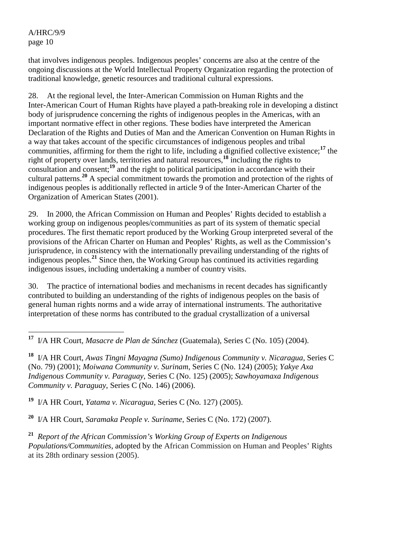that involves indigenous peoples. Indigenous peoples' concerns are also at the centre of the ongoing discussions at the World Intellectual Property Organization regarding the protection of traditional knowledge, genetic resources and traditional cultural expressions.

28. At the regional level, the Inter-American Commission on Human Rights and the Inter-American Court of Human Rights have played a path-breaking role in developing a distinct body of jurisprudence concerning the rights of indigenous peoples in the Americas, with an important normative effect in other regions. These bodies have interpreted the American Declaration of the Rights and Duties of Man and the American Convention on Human Rights in a way that takes account of the specific circumstances of indigenous peoples and tribal communities, affirming for them the right to life, including a dignified collective existence;**<sup>17</sup>** the right of property over lands, territories and natural resources,**<sup>18</sup>** including the rights to consultation and consent;<sup>19</sup> and the right to political participation in accordance with their cultural patterns.<sup>20</sup> A special commitment towards the promotion and protection of the rights of indigenous peoples is additionally reflected in article 9 of the Inter-American Charter of the Organization of American States (2001).

29. In 2000, the African Commission on Human and Peoples' Rights decided to establish a working group on indigenous peoples/communities as part of its system of thematic special procedures. The first thematic report produced by the Working Group interpreted several of the provisions of the African Charter on Human and Peoples' Rights, as well as the Commission's jurisprudence, in consistency with the internationally prevailing understanding of the rights of indigenous peoples.**<sup>21</sup>** Since then, the Working Group has continued its activities regarding indigenous issues, including undertaking a number of country visits.

30. The practice of international bodies and mechanisms in recent decades has significantly contributed to building an understanding of the rights of indigenous peoples on the basis of general human rights norms and a wide array of international instruments. The authoritative interpretation of these norms has contributed to the gradual crystallization of a universal

 $\bf 17$ **<sup>17</sup>** I/A HR Court, *Masacre de Plan de Sánchez* (Guatemala), Series C (No. 105) (2004).

**<sup>18</sup>** I/A HR Court, *Awas Tingni Mayagna (Sumo) Indigenous Community v. Nicaragua*, Series C (No. 79) (2001); *Moiwana Community v. Surinam*, Series C (No. 124) (2005); *Yakye Axa Indigenous Community v. Paraguay*, Series C (No. 125) (2005); *Sawhoyamaxa Indigenous Community v. Paraguay*, Series C (No. 146) (2006).

**<sup>19</sup>** I/A HR Court, *Yatama v. Nicaragua,* Series C (No. 127) (2005).

**<sup>20</sup>** I/A HR Court, *Saramaka People v. Suriname*, Series C (No. 172) (2007).

**<sup>21</sup>** *Report of the African Commission's Working Group of Experts on Indigenous Populations/Communities*, adopted by the African Commission on Human and Peoples' Rights at its 28th ordinary session (2005).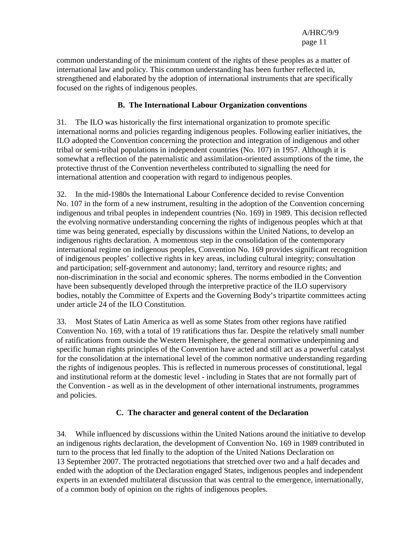common understanding of the minimum content of the rights of these peoples as a matter of international law and policy. This common understanding has been further reflected in, strengthened and elaborated by the adoption of international instruments that are specifically focused on the rights of indigenous peoples.

## **B. The International Labour Organization conventions**

31. The ILO was historically the first international organization to promote specific international norms and policies regarding indigenous peoples. Following earlier initiatives, the ILO adopted the Convention concerning the protection and integration of indigenous and other tribal or semi-tribal populations in independent countries (No. 107) in 1957. Although it is somewhat a reflection of the paternalistic and assimilation-oriented assumptions of the time, the protective thrust of the Convention nevertheless contributed to signalling the need for international attention and cooperation with regard to indigenous peoples.

32. In the mid-1980s the International Labour Conference decided to revise Convention No. 107 in the form of a new instrument, resulting in the adoption of the Convention concerning indigenous and tribal peoples in independent countries (No. 169) in 1989. This decision reflected the evolving normative understanding concerning the rights of indigenous peoples which at that time was being generated, especially by discussions within the United Nations, to develop an indigenous rights declaration. A momentous step in the consolidation of the contemporary international regime on indigenous peoples, Convention No. 169 provides significant recognition of indigenous peoples' collective rights in key areas, including cultural integrity; consultation and participation; self-government and autonomy; land, territory and resource rights; and non-discrimination in the social and economic spheres. The norms embodied in the Convention have been subsequently developed through the interpretive practice of the ILO supervisory bodies, notably the Committee of Experts and the Governing Body's tripartite committees acting under article 24 of the ILO Constitution.

33. Most States of Latin America as well as some States from other regions have ratified Convention No. 169, with a total of 19 ratifications thus far. Despite the relatively small number of ratifications from outside the Western Hemisphere, the general normative underpinning and specific human rights principles of the Convention have acted and still act as a powerful catalyst for the consolidation at the international level of the common normative understanding regarding the rights of indigenous peoples. This is reflected in numerous processes of constitutional, legal and institutional reform at the domestic level - including in States that are not formally part of the Convention - as well as in the development of other international instruments, programmes and policies.

# **C. The character and general content of the Declaration**

34. While influenced by discussions within the United Nations around the initiative to develop an indigenous rights declaration, the development of Convention No. 169 in 1989 contributed in turn to the process that led finally to the adoption of the United Nations Declaration on 13 September 2007. The protracted negotiations that stretched over two and a half decades and ended with the adoption of the Declaration engaged States, indigenous peoples and independent experts in an extended multilateral discussion that was central to the emergence, internationally, of a common body of opinion on the rights of indigenous peoples.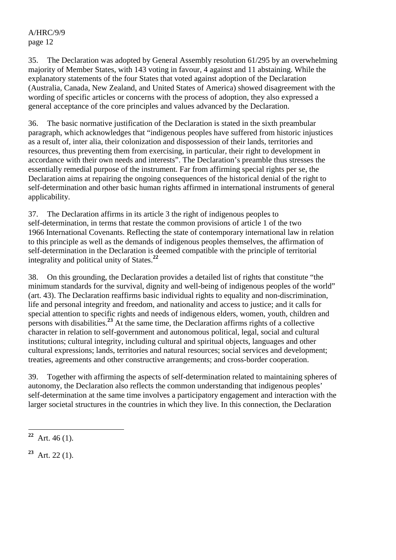35. The Declaration was adopted by General Assembly resolution 61/295 by an overwhelming majority of Member States, with 143 voting in favour, 4 against and 11 abstaining. While the explanatory statements of the four States that voted against adoption of the Declaration (Australia, Canada, New Zealand, and United States of America) showed disagreement with the wording of specific articles or concerns with the process of adoption, they also expressed a general acceptance of the core principles and values advanced by the Declaration.

36. The basic normative justification of the Declaration is stated in the sixth preambular paragraph, which acknowledges that "indigenous peoples have suffered from historic injustices as a result of, inter alia, their colonization and dispossession of their lands, territories and resources, thus preventing them from exercising, in particular, their right to development in accordance with their own needs and interests". The Declaration's preamble thus stresses the essentially remedial purpose of the instrument. Far from affirming special rights per se, the Declaration aims at repairing the ongoing consequences of the historical denial of the right to self-determination and other basic human rights affirmed in international instruments of general applicability.

37. The Declaration affirms in its article 3 the right of indigenous peoples to self-determination, in terms that restate the common provisions of article 1 of the two 1966 International Covenants. Reflecting the state of contemporary international law in relation to this principle as well as the demands of indigenous peoples themselves, the affirmation of self-determination in the Declaration is deemed compatible with the principle of territorial integrality and political unity of States.**<sup>22</sup>**

38. On this grounding, the Declaration provides a detailed list of rights that constitute "the minimum standards for the survival, dignity and well-being of indigenous peoples of the world" (art. 43). The Declaration reaffirms basic individual rights to equality and non-discrimination, life and personal integrity and freedom, and nationality and access to justice; and it calls for special attention to specific rights and needs of indigenous elders, women, youth, children and persons with disabilities.**<sup>23</sup>** At the same time, the Declaration affirms rights of a collective character in relation to self-government and autonomous political, legal, social and cultural institutions; cultural integrity, including cultural and spiritual objects, languages and other cultural expressions; lands, territories and natural resources; social services and development; treaties, agreements and other constructive arrangements; and cross-border cooperation.

39. Together with affirming the aspects of self-determination related to maintaining spheres of autonomy, the Declaration also reflects the common understanding that indigenous peoples' self-determination at the same time involves a participatory engagement and interaction with the larger societal structures in the countries in which they live. In this connection, the Declaration

 $\bf{22}$ Art. 46 (1).

**<sup>23</sup>** Art. 22 (1).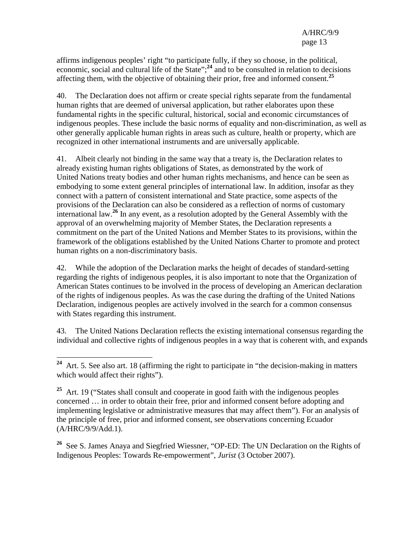affirms indigenous peoples' right "to participate fully, if they so choose, in the political, economic, social and cultural life of the State";**<sup>24</sup>** and to be consulted in relation to decisions affecting them, with the objective of obtaining their prior, free and informed consent.**<sup>25</sup>**

40. The Declaration does not affirm or create special rights separate from the fundamental human rights that are deemed of universal application, but rather elaborates upon these fundamental rights in the specific cultural, historical, social and economic circumstances of indigenous peoples. These include the basic norms of equality and non-discrimination, as well as other generally applicable human rights in areas such as culture, health or property, which are recognized in other international instruments and are universally applicable.

41. Albeit clearly not binding in the same way that a treaty is, the Declaration relates to already existing human rights obligations of States, as demonstrated by the work of United Nations treaty bodies and other human rights mechanisms, and hence can be seen as embodying to some extent general principles of international law. In addition, insofar as they connect with a pattern of consistent international and State practice, some aspects of the provisions of the Declaration can also be considered as a reflection of norms of customary international law.**<sup>26</sup>** In any event, as a resolution adopted by the General Assembly with the approval of an overwhelming majority of Member States, the Declaration represents a commitment on the part of the United Nations and Member States to its provisions, within the framework of the obligations established by the United Nations Charter to promote and protect human rights on a non-discriminatory basis.

42. While the adoption of the Declaration marks the height of decades of standard-setting regarding the rights of indigenous peoples, it is also important to note that the Organization of American States continues to be involved in the process of developing an American declaration of the rights of indigenous peoples. As was the case during the drafting of the United Nations Declaration, indigenous peoples are actively involved in the search for a common consensus with States regarding this instrument.

43. The United Nations Declaration reflects the existing international consensus regarding the individual and collective rights of indigenous peoples in a way that is coherent with, and expands

 $\overline{a}$ 

**<sup>26</sup>** See S. James Anaya and Siegfried Wiessner, "OP-ED: The UN Declaration on the Rights of Indigenous Peoples: Towards Re-empowerment", *Jurist* (3 October 2007).

<sup>&</sup>lt;sup>24</sup> Art. 5. See also art. 18 (affirming the right to participate in "the decision-making in matters which would affect their rights").

<sup>&</sup>lt;sup>25</sup> Art. 19 ("States shall consult and cooperate in good faith with the indigenous peoples concerned … in order to obtain their free, prior and informed consent before adopting and implementing legislative or administrative measures that may affect them"). For an analysis of the principle of free, prior and informed consent, see observations concerning Ecuador (A/HRC/9/9/Add.1).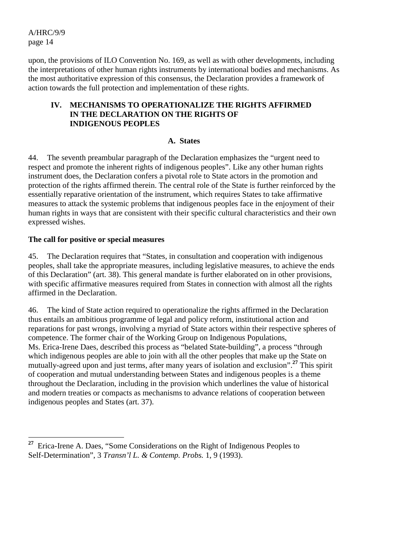$\overline{a}$ 

upon, the provisions of ILO Convention No. 169, as well as with other developments, including the interpretations of other human rights instruments by international bodies and mechanisms. As the most authoritative expression of this consensus, the Declaration provides a framework of action towards the full protection and implementation of these rights.

### **IV. MECHANISMS TO OPERATIONALIZE THE RIGHTS AFFIRMED IN THE DECLARATION ON THE RIGHTS OF INDIGENOUS PEOPLES**

#### **A. States**

44. The seventh preambular paragraph of the Declaration emphasizes the "urgent need to respect and promote the inherent rights of indigenous peoples". Like any other human rights instrument does, the Declaration confers a pivotal role to State actors in the promotion and protection of the rights affirmed therein. The central role of the State is further reinforced by the essentially reparative orientation of the instrument, which requires States to take affirmative measures to attack the systemic problems that indigenous peoples face in the enjoyment of their human rights in ways that are consistent with their specific cultural characteristics and their own expressed wishes.

### **The call for positive or special measures**

45. The Declaration requires that "States, in consultation and cooperation with indigenous peoples, shall take the appropriate measures, including legislative measures, to achieve the ends of this Declaration" (art. 38). This general mandate is further elaborated on in other provisions, with specific affirmative measures required from States in connection with almost all the rights affirmed in the Declaration.

46. The kind of State action required to operationalize the rights affirmed in the Declaration thus entails an ambitious programme of legal and policy reform, institutional action and reparations for past wrongs, involving a myriad of State actors within their respective spheres of competence. The former chair of the Working Group on Indigenous Populations, Ms. Erica-Irene Daes, described this process as "belated State-building", a process "through which indigenous peoples are able to join with all the other peoples that make up the State on mutually-agreed upon and just terms, after many years of isolation and exclusion".<sup>27</sup> This spirit of cooperation and mutual understanding between States and indigenous peoples is a theme throughout the Declaration, including in the provision which underlines the value of historical and modern treaties or compacts as mechanisms to advance relations of cooperation between indigenous peoples and States (art. 37).

**<sup>27</sup>** Erica-Irene A. Daes, "Some Considerations on the Right of Indigenous Peoples to Self-Determination", 3 *Transn'l L. & Contemp. Probs.* 1, 9 (1993).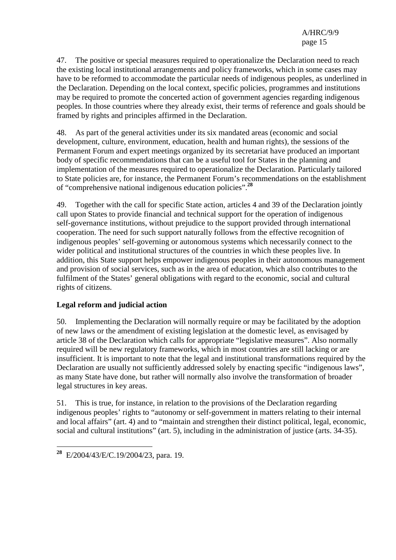47. The positive or special measures required to operationalize the Declaration need to reach the existing local institutional arrangements and policy frameworks, which in some cases may have to be reformed to accommodate the particular needs of indigenous peoples, as underlined in the Declaration. Depending on the local context, specific policies, programmes and institutions may be required to promote the concerted action of government agencies regarding indigenous peoples. In those countries where they already exist, their terms of reference and goals should be framed by rights and principles affirmed in the Declaration.

48. As part of the general activities under its six mandated areas (economic and social development, culture, environment, education, health and human rights), the sessions of the Permanent Forum and expert meetings organized by its secretariat have produced an important body of specific recommendations that can be a useful tool for States in the planning and implementation of the measures required to operationalize the Declaration. Particularly tailored to State policies are, for instance, the Permanent Forum's recommendations on the establishment of "comprehensive national indigenous education policies".**<sup>28</sup>**

49. Together with the call for specific State action, articles 4 and 39 of the Declaration jointly call upon States to provide financial and technical support for the operation of indigenous self-governance institutions, without prejudice to the support provided through international cooperation. The need for such support naturally follows from the effective recognition of indigenous peoples' self-governing or autonomous systems which necessarily connect to the wider political and institutional structures of the countries in which these peoples live. In addition, this State support helps empower indigenous peoples in their autonomous management and provision of social services, such as in the area of education, which also contributes to the fulfilment of the States' general obligations with regard to the economic, social and cultural rights of citizens.

### **Legal reform and judicial action**

50. Implementing the Declaration will normally require or may be facilitated by the adoption of new laws or the amendment of existing legislation at the domestic level, as envisaged by article 38 of the Declaration which calls for appropriate "legislative measures". Also normally required will be new regulatory frameworks, which in most countries are still lacking or are insufficient. It is important to note that the legal and institutional transformations required by the Declaration are usually not sufficiently addressed solely by enacting specific "indigenous laws", as many State have done, but rather will normally also involve the transformation of broader legal structures in key areas.

51. This is true, for instance, in relation to the provisions of the Declaration regarding indigenous peoples' rights to "autonomy or self-government in matters relating to their internal and local affairs" (art. 4) and to "maintain and strengthen their distinct political, legal, economic, social and cultural institutions" (art. 5), including in the administration of justice (arts. 34-35).

**<sup>28</sup>** E/2004/43/E/C.19/2004/23, para. 19.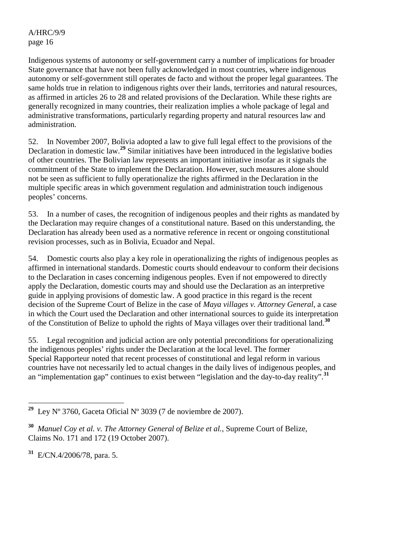Indigenous systems of autonomy or self-government carry a number of implications for broader State governance that have not been fully acknowledged in most countries, where indigenous autonomy or self-government still operates de facto and without the proper legal guarantees. The same holds true in relation to indigenous rights over their lands, territories and natural resources, as affirmed in articles 26 to 28 and related provisions of the Declaration. While these rights are generally recognized in many countries, their realization implies a whole package of legal and administrative transformations, particularly regarding property and natural resources law and administration.

52. In November 2007, Bolivia adopted a law to give full legal effect to the provisions of the Declaration in domestic law.**<sup>29</sup>** Similar initiatives have been introduced in the legislative bodies of other countries. The Bolivian law represents an important initiative insofar as it signals the commitment of the State to implement the Declaration. However, such measures alone should not be seen as sufficient to fully operationalize the rights affirmed in the Declaration in the multiple specific areas in which government regulation and administration touch indigenous peoples' concerns.

53. In a number of cases, the recognition of indigenous peoples and their rights as mandated by the Declaration may require changes of a constitutional nature. Based on this understanding, the Declaration has already been used as a normative reference in recent or ongoing constitutional revision processes, such as in Bolivia, Ecuador and Nepal.

54. Domestic courts also play a key role in operationalizing the rights of indigenous peoples as affirmed in international standards. Domestic courts should endeavour to conform their decisions to the Declaration in cases concerning indigenous peoples. Even if not empowered to directly apply the Declaration, domestic courts may and should use the Declaration as an interpretive guide in applying provisions of domestic law. A good practice in this regard is the recent decision of the Supreme Court of Belize in the case of *Maya villages v. Attorney General*, a case in which the Court used the Declaration and other international sources to guide its interpretation of the Constitution of Belize to uphold the rights of Maya villages over their traditional land.**<sup>30</sup>**

55. Legal recognition and judicial action are only potential preconditions for operationalizing the indigenous peoples' rights under the Declaration at the local level. The former Special Rapporteur noted that recent processes of constitutional and legal reform in various countries have not necessarily led to actual changes in the daily lives of indigenous peoples, and an "implementation gap" continues to exist between "legislation and the day-to-day reality".**<sup>31</sup>**

<sup>29</sup> Ley N° 3760, Gaceta Oficial N° 3039 (7 de noviembre de 2007).

**<sup>30</sup>** *Manuel Coy et al. v. The Attorney General of Belize et al.*, Supreme Court of Belize, Claims No. 171 and 172 (19 October 2007).

**<sup>31</sup>** E/CN.4/2006/78, para. 5.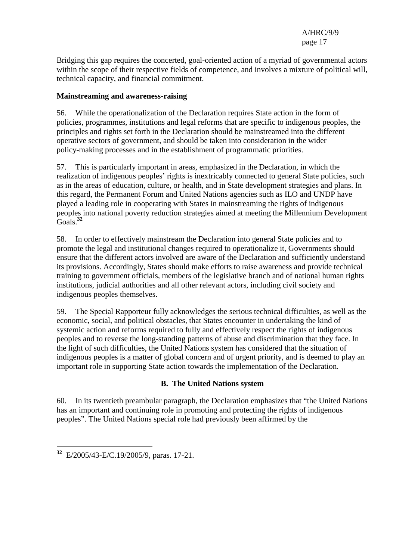Bridging this gap requires the concerted, goal-oriented action of a myriad of governmental actors within the scope of their respective fields of competence, and involves a mixture of political will, technical capacity, and financial commitment.

#### **Mainstreaming and awareness-raising**

56. While the operationalization of the Declaration requires State action in the form of policies, programmes, institutions and legal reforms that are specific to indigenous peoples, the principles and rights set forth in the Declaration should be mainstreamed into the different operative sectors of government, and should be taken into consideration in the wider policy-making processes and in the establishment of programmatic priorities.

57. This is particularly important in areas, emphasized in the Declaration, in which the realization of indigenous peoples' rights is inextricably connected to general State policies, such as in the areas of education, culture, or health, and in State development strategies and plans. In this regard, the Permanent Forum and United Nations agencies such as ILO and UNDP have played a leading role in cooperating with States in mainstreaming the rights of indigenous peoples into national poverty reduction strategies aimed at meeting the Millennium Development  $G<sub>o</sub>$ als<sup>32</sup>

58. In order to effectively mainstream the Declaration into general State policies and to promote the legal and institutional changes required to operationalize it, Governments should ensure that the different actors involved are aware of the Declaration and sufficiently understand its provisions. Accordingly, States should make efforts to raise awareness and provide technical training to government officials, members of the legislative branch and of national human rights institutions, judicial authorities and all other relevant actors, including civil society and indigenous peoples themselves.

59. The Special Rapporteur fully acknowledges the serious technical difficulties, as well as the economic, social, and political obstacles, that States encounter in undertaking the kind of systemic action and reforms required to fully and effectively respect the rights of indigenous peoples and to reverse the long-standing patterns of abuse and discrimination that they face. In the light of such difficulties, the United Nations system has considered that the situation of indigenous peoples is a matter of global concern and of urgent priority, and is deemed to play an important role in supporting State action towards the implementation of the Declaration.

### **B. The United Nations system**

60. In its twentieth preambular paragraph, the Declaration emphasizes that "the United Nations has an important and continuing role in promoting and protecting the rights of indigenous peoples". The United Nations special role had previously been affirmed by the

 $\overline{a}$ **<sup>32</sup>** E/2005/43-E/C.19/2005/9, paras. 17-21.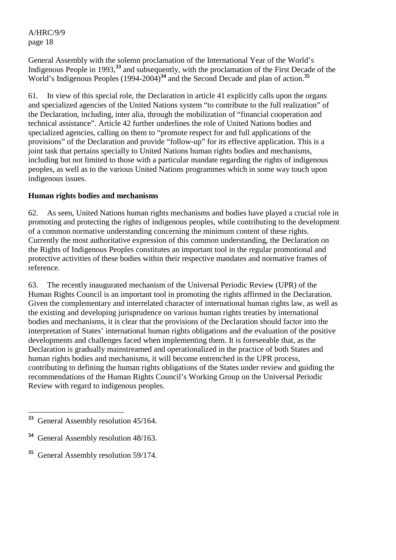General Assembly with the solemn proclamation of the International Year of the World's Indigenous People in 1993,**<sup>33</sup>** and subsequently, with the proclamation of the First Decade of the World's Indigenous Peoples (1994-2004)**<sup>34</sup>** and the Second Decade and plan of action.**<sup>35</sup>**

61. In view of this special role, the Declaration in article 41 explicitly calls upon the organs and specialized agencies of the United Nations system "to contribute to the full realization" of the Declaration, including, inter alia, through the mobilization of "financial cooperation and technical assistance". Article 42 further underlines the role of United Nations bodies and specialized agencies, calling on them to "promote respect for and full applications of the provisions" of the Declaration and provide "follow-up" for its effective application. This is a joint task that pertains specially to United Nations human rights bodies and mechanisms, including but not limited to those with a particular mandate regarding the rights of indigenous peoples, as well as to the various United Nations programmes which in some way touch upon indigenous issues.

#### **Human rights bodies and mechanisms**

62. As seen, United Nations human rights mechanisms and bodies have played a crucial role in promoting and protecting the rights of indigenous peoples, while contributing to the development of a common normative understanding concerning the minimum content of these rights. Currently the most authoritative expression of this common understanding, the Declaration on the Rights of Indigenous Peoples constitutes an important tool in the regular promotional and protective activities of these bodies within their respective mandates and normative frames of reference.

63. The recently inaugurated mechanism of the Universal Periodic Review (UPR) of the Human Rights Council is an important tool in promoting the rights affirmed in the Declaration. Given the complementary and interrelated character of international human rights law, as well as the existing and developing jurisprudence on various human rights treaties by international bodies and mechanisms, it is clear that the provisions of the Declaration should factor into the interpretation of States' international human rights obligations and the evaluation of the positive developments and challenges faced when implementing them. It is foreseeable that, as the Declaration is gradually mainstreamed and operationalized in the practice of both States and human rights bodies and mechanisms, it will become entrenched in the UPR process, contributing to defining the human rights obligations of the States under review and guiding the recommendations of the Human Rights Council's Working Group on the Universal Periodic Review with regard to indigenous peoples.

<sup>33</sup> **<sup>33</sup>** General Assembly resolution 45/164.

**<sup>34</sup>** General Assembly resolution 48/163.

**<sup>35</sup>** General Assembly resolution 59/174.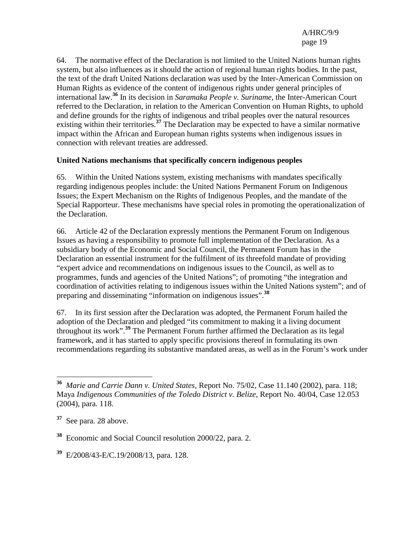64. The normative effect of the Declaration is not limited to the United Nations human rights system, but also influences as it should the action of regional human rights bodies. In the past, the text of the draft United Nations declaration was used by the Inter-American Commission on Human Rights as evidence of the content of indigenous rights under general principles of international law.**<sup>36</sup>** In its decision in *Saramaka People v. Suriname*, the Inter-American Court referred to the Declaration, in relation to the American Convention on Human Rights, to uphold and define grounds for the rights of indigenous and tribal peoples over the natural resources existing within their territories.<sup>37</sup> The Declaration may be expected to have a similar normative impact within the African and European human rights systems when indigenous issues in connection with relevant treaties are addressed.

### **United Nations mechanisms that specifically concern indigenous peoples**

65. Within the United Nations system, existing mechanisms with mandates specifically regarding indigenous peoples include: the United Nations Permanent Forum on Indigenous Issues; the Expert Mechanism on the Rights of Indigenous Peoples, and the mandate of the Special Rapporteur. These mechanisms have special roles in promoting the operationalization of the Declaration.

66. Article 42 of the Declaration expressly mentions the Permanent Forum on Indigenous Issues as having a responsibility to promote full implementation of the Declaration. As a subsidiary body of the Economic and Social Council, the Permanent Forum has in the Declaration an essential instrument for the fulfilment of its threefold mandate of providing "expert advice and recommendations on indigenous issues to the Council, as well as to programmes, funds and agencies of the United Nations"; of promoting "the integration and coordination of activities relating to indigenous issues within the United Nations system"; and of preparing and disseminating "information on indigenous issues".**<sup>38</sup>**

67. In its first session after the Declaration was adopted, the Permanent Forum hailed the adoption of the Declaration and pledged "its commitment to making it a living document throughout its work".**<sup>39</sup>** The Permanent Forum further affirmed the Declaration as its legal framework, and it has started to apply specific provisions thereof in formulating its own recommendations regarding its substantive mandated areas, as well as in the Forum's work under

**<sup>36</sup>** *Marie and Carrie Dann v. United States*, Report No. 75/02, Case 11.140 (2002), para. 118; Maya *Indigenous Communities of the Toledo District v. Belize*, Report No. 40/04, Case 12.053 (2004), para. 118.

**<sup>37</sup>** See para. 28 above.

**<sup>38</sup>** Economic and Social Council resolution 2000/22, para. 2.

**<sup>39</sup>** E/2008/43-E/C.19/2008/13, para. 128.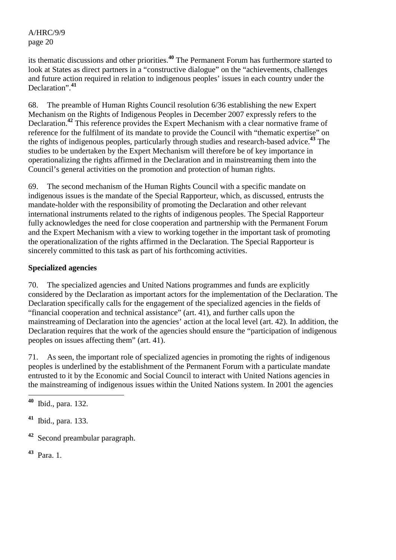its thematic discussions and other priorities.**<sup>40</sup>** The Permanent Forum has furthermore started to look at States as direct partners in a "constructive dialogue" on the "achievements, challenges and future action required in relation to indigenous peoples' issues in each country under the Declaration".**<sup>41</sup>**

68. The preamble of Human Rights Council resolution 6/36 establishing the new Expert Mechanism on the Rights of Indigenous Peoples in December 2007 expressly refers to the Declaration.<sup>42</sup> This reference provides the Expert Mechanism with a clear normative frame of reference for the fulfilment of its mandate to provide the Council with "thematic expertise" on the rights of indigenous peoples, particularly through studies and research-based advice.**<sup>43</sup>** The studies to be undertaken by the Expert Mechanism will therefore be of key importance in operationalizing the rights affirmed in the Declaration and in mainstreaming them into the Council's general activities on the promotion and protection of human rights.

69. The second mechanism of the Human Rights Council with a specific mandate on indigenous issues is the mandate of the Special Rapporteur, which, as discussed, entrusts the mandate-holder with the responsibility of promoting the Declaration and other relevant international instruments related to the rights of indigenous peoples. The Special Rapporteur fully acknowledges the need for close cooperation and partnership with the Permanent Forum and the Expert Mechanism with a view to working together in the important task of promoting the operationalization of the rights affirmed in the Declaration. The Special Rapporteur is sincerely committed to this task as part of his forthcoming activities.

### **Specialized agencies**

70. The specialized agencies and United Nations programmes and funds are explicitly considered by the Declaration as important actors for the implementation of the Declaration. The Declaration specifically calls for the engagement of the specialized agencies in the fields of "financial cooperation and technical assistance" (art. 41), and further calls upon the mainstreaming of Declaration into the agencies' action at the local level (art. 42). In addition, the Declaration requires that the work of the agencies should ensure the "participation of indigenous peoples on issues affecting them" (art. 41).

71. As seen, the important role of specialized agencies in promoting the rights of indigenous peoples is underlined by the establishment of the Permanent Forum with a particulate mandate entrusted to it by the Economic and Social Council to interact with United Nations agencies in the mainstreaming of indigenous issues within the United Nations system. In 2001 the agencies

**<sup>42</sup>** Second preambular paragraph.

**<sup>43</sup>** Para. 1.

<sup>40</sup> **<sup>40</sup>** Ibid., para. 132.

**<sup>41</sup>** Ibid., para. 133.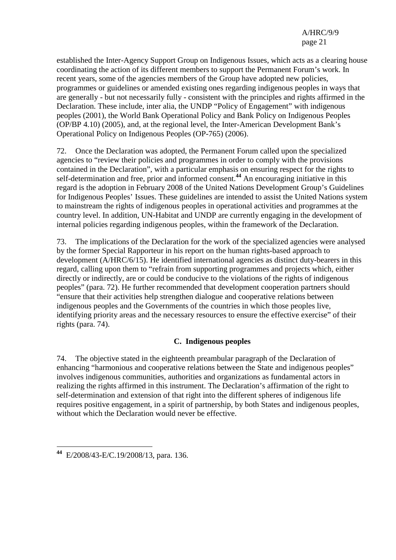established the Inter-Agency Support Group on Indigenous Issues, which acts as a clearing house coordinating the action of its different members to support the Permanent Forum's work. In recent years, some of the agencies members of the Group have adopted new policies, programmes or guidelines or amended existing ones regarding indigenous peoples in ways that are generally - but not necessarily fully - consistent with the principles and rights affirmed in the Declaration. These include, inter alia, the UNDP "Policy of Engagement" with indigenous peoples (2001), the World Bank Operational Policy and Bank Policy on Indigenous Peoples (OP/BP 4.10) (2005), and, at the regional level, the Inter-American Development Bank's Operational Policy on Indigenous Peoples (OP-765) (2006).

72. Once the Declaration was adopted, the Permanent Forum called upon the specialized agencies to "review their policies and programmes in order to comply with the provisions contained in the Declaration", with a particular emphasis on ensuring respect for the rights to self-determination and free, prior and informed consent.**<sup>44</sup>** An encouraging initiative in this regard is the adoption in February 2008 of the United Nations Development Group's Guidelines for Indigenous Peoples' Issues. These guidelines are intended to assist the United Nations system to mainstream the rights of indigenous peoples in operational activities and programmes at the country level. In addition, UN-Habitat and UNDP are currently engaging in the development of internal policies regarding indigenous peoples, within the framework of the Declaration.

73. The implications of the Declaration for the work of the specialized agencies were analysed by the former Special Rapporteur in his report on the human rights-based approach to development (A/HRC/6/15). He identified international agencies as distinct duty-bearers in this regard, calling upon them to "refrain from supporting programmes and projects which, either directly or indirectly, are or could be conducive to the violations of the rights of indigenous peoples" (para. 72). He further recommended that development cooperation partners should "ensure that their activities help strengthen dialogue and cooperative relations between indigenous peoples and the Governments of the countries in which those peoples live, identifying priority areas and the necessary resources to ensure the effective exercise" of their rights (para. 74).

### **C. Indigenous peoples**

74. The objective stated in the eighteenth preambular paragraph of the Declaration of enhancing "harmonious and cooperative relations between the State and indigenous peoples" involves indigenous communities, authorities and organizations as fundamental actors in realizing the rights affirmed in this instrument. The Declaration's affirmation of the right to self-determination and extension of that right into the different spheres of indigenous life requires positive engagement, in a spirit of partnership, by both States and indigenous peoples, without which the Declaration would never be effective.

**<sup>44</sup>** E/2008/43-E/C.19/2008/13, para. 136.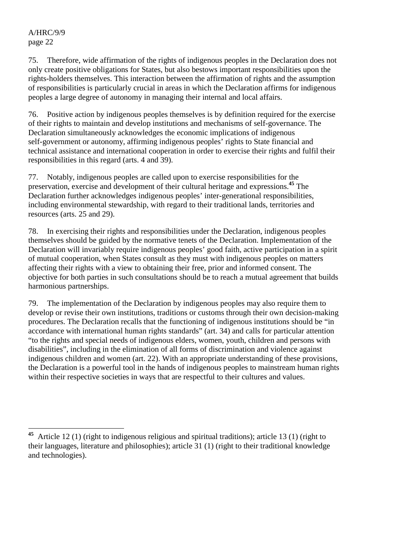75. Therefore, wide affirmation of the rights of indigenous peoples in the Declaration does not only create positive obligations for States, but also bestows important responsibilities upon the rights-holders themselves. This interaction between the affirmation of rights and the assumption of responsibilities is particularly crucial in areas in which the Declaration affirms for indigenous peoples a large degree of autonomy in managing their internal and local affairs.

76. Positive action by indigenous peoples themselves is by definition required for the exercise of their rights to maintain and develop institutions and mechanisms of self-governance. The Declaration simultaneously acknowledges the economic implications of indigenous self-government or autonomy, affirming indigenous peoples' rights to State financial and technical assistance and international cooperation in order to exercise their rights and fulfil their responsibilities in this regard (arts. 4 and 39).

77. Notably, indigenous peoples are called upon to exercise responsibilities for the preservation, exercise and development of their cultural heritage and expressions.**<sup>45</sup>** The Declaration further acknowledges indigenous peoples' inter-generational responsibilities, including environmental stewardship, with regard to their traditional lands, territories and resources (arts. 25 and 29).

78. In exercising their rights and responsibilities under the Declaration, indigenous peoples themselves should be guided by the normative tenets of the Declaration. Implementation of the Declaration will invariably require indigenous peoples' good faith, active participation in a spirit of mutual cooperation, when States consult as they must with indigenous peoples on matters affecting their rights with a view to obtaining their free, prior and informed consent. The objective for both parties in such consultations should be to reach a mutual agreement that builds harmonious partnerships.

79. The implementation of the Declaration by indigenous peoples may also require them to develop or revise their own institutions, traditions or customs through their own decision-making procedures. The Declaration recalls that the functioning of indigenous institutions should be "in accordance with international human rights standards" (art. 34) and calls for particular attention "to the rights and special needs of indigenous elders, women, youth, children and persons with disabilities", including in the elimination of all forms of discrimination and violence against indigenous children and women (art. 22). With an appropriate understanding of these provisions, the Declaration is a powerful tool in the hands of indigenous peoples to mainstream human rights within their respective societies in ways that are respectful to their cultures and values.

 $\overline{a}$ **<sup>45</sup>** Article 12 (1) (right to indigenous religious and spiritual traditions); article 13 (1) (right to their languages, literature and philosophies); article 31 (1) (right to their traditional knowledge and technologies).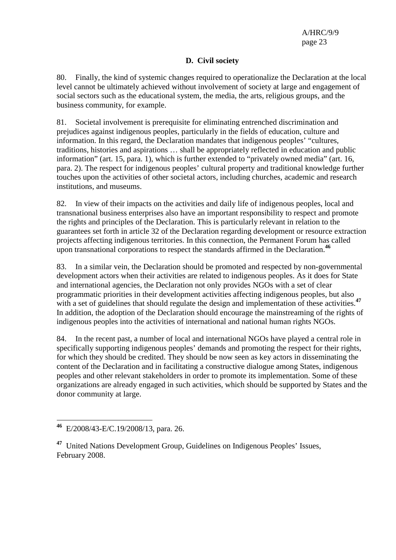## **D. Civil society**

80. Finally, the kind of systemic changes required to operationalize the Declaration at the local level cannot be ultimately achieved without involvement of society at large and engagement of social sectors such as the educational system, the media, the arts, religious groups, and the business community, for example.

81. Societal involvement is prerequisite for eliminating entrenched discrimination and prejudices against indigenous peoples, particularly in the fields of education, culture and information. In this regard, the Declaration mandates that indigenous peoples' "cultures, traditions, histories and aspirations … shall be appropriately reflected in education and public information" (art. 15, para. 1), which is further extended to "privately owned media" (art. 16, para. 2). The respect for indigenous peoples' cultural property and traditional knowledge further touches upon the activities of other societal actors, including churches, academic and research institutions, and museums.

82. In view of their impacts on the activities and daily life of indigenous peoples, local and transnational business enterprises also have an important responsibility to respect and promote the rights and principles of the Declaration. This is particularly relevant in relation to the guarantees set forth in article 32 of the Declaration regarding development or resource extraction projects affecting indigenous territories. In this connection, the Permanent Forum has called upon transnational corporations to respect the standards affirmed in the Declaration.**<sup>46</sup>**

83. In a similar vein, the Declaration should be promoted and respected by non-governmental development actors when their activities are related to indigenous peoples. As it does for State and international agencies, the Declaration not only provides NGOs with a set of clear programmatic priorities in their development activities affecting indigenous peoples, but also with a set of guidelines that should regulate the design and implementation of these activities.<sup>47</sup> In addition, the adoption of the Declaration should encourage the mainstreaming of the rights of indigenous peoples into the activities of international and national human rights NGOs.

84. In the recent past, a number of local and international NGOs have played a central role in specifically supporting indigenous peoples' demands and promoting the respect for their rights, for which they should be credited. They should be now seen as key actors in disseminating the content of the Declaration and in facilitating a constructive dialogue among States, indigenous peoples and other relevant stakeholders in order to promote its implementation. Some of these organizations are already engaged in such activities, which should be supported by States and the donor community at large.

 $\overline{a}$ **<sup>46</sup>** E/2008/43-E/C.19/2008/13, para. 26.

**<sup>47</sup>** United Nations Development Group, Guidelines on Indigenous Peoples' Issues, February 2008.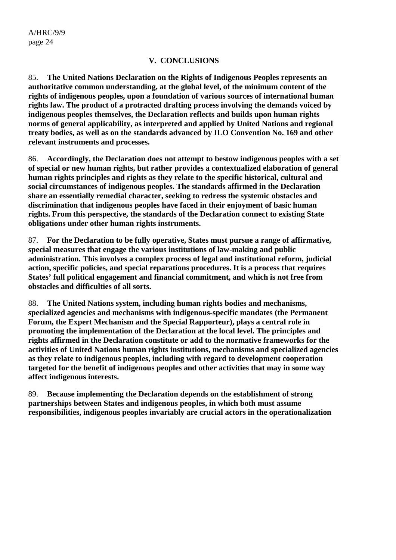#### **V. CONCLUSIONS**

85. **The United Nations Declaration on the Rights of Indigenous Peoples represents an authoritative common understanding, at the global level, of the minimum content of the rights of indigenous peoples, upon a foundation of various sources of international human rights law. The product of a protracted drafting process involving the demands voiced by indigenous peoples themselves, the Declaration reflects and builds upon human rights norms of general applicability, as interpreted and applied by United Nations and regional treaty bodies, as well as on the standards advanced by ILO Convention No. 169 and other relevant instruments and processes.** 

86. **Accordingly, the Declaration does not attempt to bestow indigenous peoples with a set of special or new human rights, but rather provides a contextualized elaboration of general human rights principles and rights as they relate to the specific historical, cultural and social circumstances of indigenous peoples. The standards affirmed in the Declaration share an essentially remedial character, seeking to redress the systemic obstacles and discrimination that indigenous peoples have faced in their enjoyment of basic human rights. From this perspective, the standards of the Declaration connect to existing State obligations under other human rights instruments.** 

87. **For the Declaration to be fully operative, States must pursue a range of affirmative, special measures that engage the various institutions of law-making and public administration. This involves a complex process of legal and institutional reform, judicial action, specific policies, and special reparations procedures. It is a process that requires States' full political engagement and financial commitment, and which is not free from obstacles and difficulties of all sorts.** 

88. **The United Nations system, including human rights bodies and mechanisms, specialized agencies and mechanisms with indigenous-specific mandates (the Permanent Forum, the Expert Mechanism and the Special Rapporteur), plays a central role in promoting the implementation of the Declaration at the local level. The principles and rights affirmed in the Declaration constitute or add to the normative frameworks for the activities of United Nations human rights institutions, mechanisms and specialized agencies as they relate to indigenous peoples, including with regard to development cooperation targeted for the benefit of indigenous peoples and other activities that may in some way affect indigenous interests.** 

89. **Because implementing the Declaration depends on the establishment of strong partnerships between States and indigenous peoples, in which both must assume responsibilities, indigenous peoples invariably are crucial actors in the operationalization**